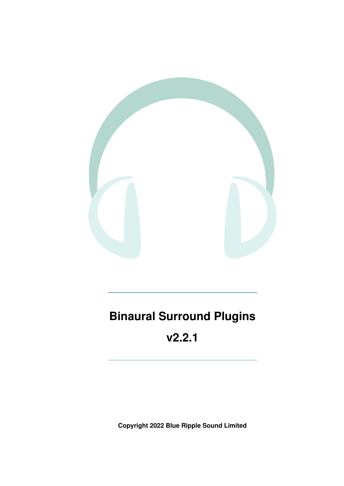

# **Binaural Surround Plugins**

# **v2.2.1**

**Copyright 2022 Blue Ripple Sound Limited**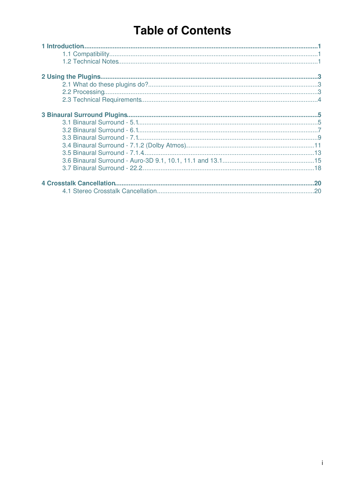# **Table of Contents**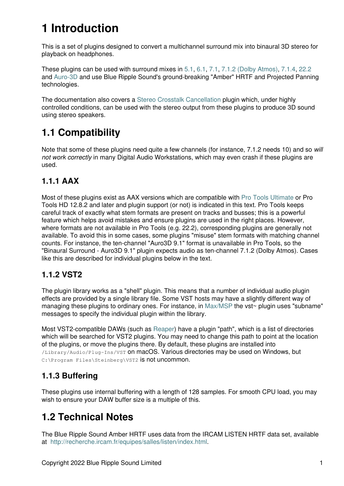# **1 Introduction**

This is a set of plugins designed to convert a multichannel surround mix into binaural 3D stereo for playback on headphones.

These plugins can be used with surround mixes in [5.1](#page-6-1), [6.1,](#page-8-0) [7.1](#page-10-0), [7.1.2 \(Dolby Atmos\)](#page-12-0), [7.1.4,](#page-14-0) [22.2](#page-19-0) and [Auro-3D](#page-16-0) and use Blue Ripple Sound's ground-breaking "Amber" HRTF and Projected Panning technologies.

The documentation also covers a [Stereo Crosstalk Cancellation](#page-21-1) plugin which, under highly controlled conditions, can be used with the stereo output from these plugins to produce 3D sound using stereo speakers.

# <span id="page-2-0"></span>**1.1 Compatibility**

Note that some of these plugins need quite a few channels (for instance, 7.1.2 needs 10) and so *will not work correctly* in many Digital Audio Workstations, which may even crash if these plugins are used.

# **1.1.1 AAX**

Most of these plugins exist as AAX versions which are compatible with [Pro Tools Ultimate](https://www.avid.com/pro-tools) or Pro Tools HD 12.8.2 and later and plugin support (or not) is indicated in this text. Pro Tools keeps careful track of exactly what stem formats are present on tracks and busses; this is a powerful feature which helps avoid mistakes and ensure plugins are used in the right places. However, where formats are not available in Pro Tools (e.g. 22.2), corresponding plugins are generally not available. To avoid this in some cases, some plugins "misuse" stem formats with matching channel counts. For instance, the ten-channel "Auro3D 9.1" format is unavailable in Pro Tools, so the "Binaural Surround - Auro3D 9.1" plugin expects audio as ten-channel 7.1.2 (Dolby Atmos). Cases like this are described for individual plugins below in the text.

## **1.1.2 VST2**

The plugin library works as a "shell" plugin. This means that a number of individual audio plugin effects are provided by a single library file. Some VST hosts may have a slightly different way of managing these plugins to ordinary ones. For instance, in [Max/MSP](http://cycling74.com) the vst~ plugin uses "subname" messages to specify the individual plugin within the library.

Most VST2-compatible DAWs (such as [Reaper](https://www.reaper.fm)) have a plugin "path", which is a list of directories which will be searched for VST2 plugins. You may need to change this path to point at the location of the plugins, or move the plugins there. By default, these plugins are installed into /Library/Audio/Plug-Ins/VST on macOS. Various directories may be used on Windows, but C:\Program Files\Steinberg\VST2 is not uncommon.

# **1.1.3 Buffering**

These plugins use internal buffering with a length of 128 samples. For smooth CPU load, you may wish to ensure your DAW buffer size is a multiple of this.

# <span id="page-2-1"></span>**1.2 Technical Notes**

The Blue Ripple Sound Amber HRTF uses data from the IRCAM LISTEN HRTF data set, available at<http://recherche.ircam.fr/equipes/salles/listen/index.html>.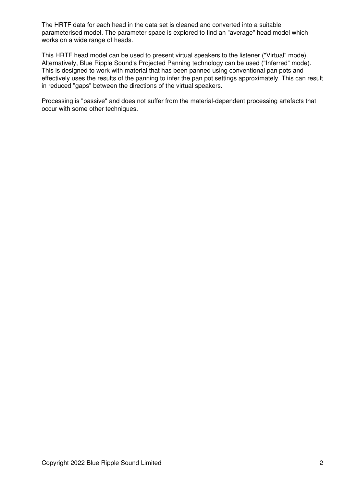The HRTF data for each head in the data set is cleaned and converted into a suitable parameterised model. The parameter space is explored to find an "average" head model which works on a wide range of heads.

This HRTF head model can be used to present virtual speakers to the listener ("Virtual" mode). Alternatively, Blue Ripple Sound's Projected Panning technology can be used ("Inferred" mode). This is designed to work with material that has been panned using conventional pan pots and effectively uses the results of the panning to infer the pan pot settings approximately. This can result in reduced "gaps" between the directions of the virtual speakers.

Processing is "passive" and does not suffer from the material-dependent processing artefacts that occur with some other techniques.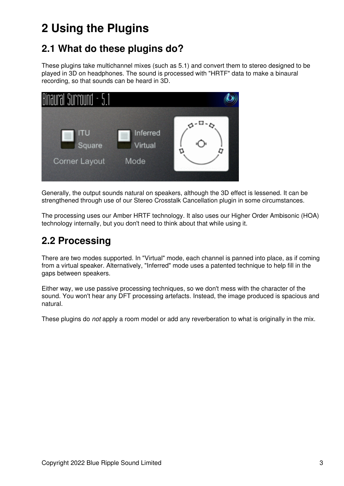# <span id="page-4-0"></span>**2 Using the Plugins**

# <span id="page-4-1"></span>**2.1 What do these plugins do?**

These plugins take multichannel mixes (such as 5.1) and convert them to stereo designed to be played in 3D on headphones. The sound is processed with "HRTF" data to make a binaural recording, so that sounds can be heard in 3D.



Generally, the output sounds natural on speakers, although the 3D effect is lessened. It can be strengthened through use of our Stereo Crosstalk Cancellation plugin in some circumstances.

The processing uses our Amber HRTF technology. It also uses our Higher Order Ambisonic (HOA) technology internally, but you don't need to think about that while using it.

# <span id="page-4-2"></span>**2.2 Processing**

There are two modes supported. In "Virtual" mode, each channel is panned into place, as if coming from a virtual speaker. Alternatively, "Inferred" mode uses a patented technique to help fill in the gaps between speakers.

Either way, we use passive processing techniques, so we don't mess with the character of the sound. You won't hear any DFT processing artefacts. Instead, the image produced is spacious and natural.

These plugins do *not* apply a room model or add any reverberation to what is originally in the mix.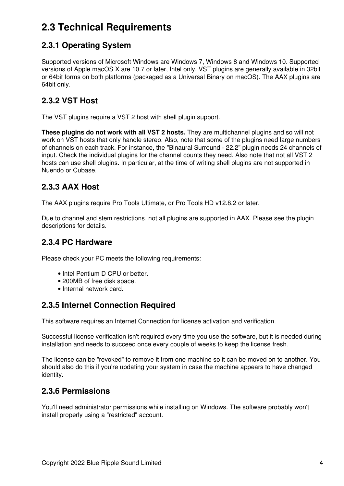# <span id="page-5-0"></span>**2.3 Technical Requirements**

# **2.3.1 Operating System**

Supported versions of Microsoft Windows are Windows 7, Windows 8 and Windows 10. Supported versions of Apple macOS X are 10.7 or later, Intel only. VST plugins are generally available in 32bit or 64bit forms on both platforms (packaged as a Universal Binary on macOS). The AAX plugins are 64bit only.

# **2.3.2 VST Host**

The VST plugins require a VST 2 host with shell plugin support.

**These plugins do not work with all VST 2 hosts.** They are multichannel plugins and so will not work on VST hosts that only handle stereo. Also, note that some of the plugins need large numbers of channels on each track. For instance, the "Binaural Surround - 22.2" plugin needs 24 channels of input. Check the individual plugins for the channel counts they need. Also note that not all VST 2 hosts can use shell plugins. In particular, at the time of writing shell plugins are not supported in Nuendo or Cubase.

## **2.3.3 AAX Host**

The AAX plugins require Pro Tools Ultimate, or Pro Tools HD v12.8.2 or later.

Due to channel and stem restrictions, not all plugins are supported in AAX. Please see the plugin descriptions for details.

### **2.3.4 PC Hardware**

Please check your PC meets the following requirements:

- Intel Pentium D CPU or better.
- 200MB of free disk space.
- Internal network card.

## **2.3.5 Internet Connection Required**

This software requires an Internet Connection for license activation and verification.

Successful license verification isn't required every time you use the software, but it is needed during installation and needs to succeed once every couple of weeks to keep the license fresh.

The license can be "revoked" to remove it from one machine so it can be moved on to another. You should also do this if you're updating your system in case the machine appears to have changed identity.

## **2.3.6 Permissions**

You'll need administrator permissions while installing on Windows. The software probably won't install properly using a "restricted" account.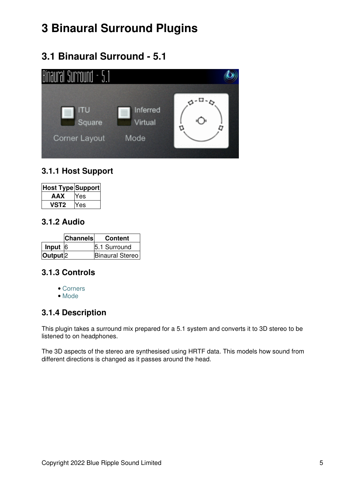# <span id="page-6-0"></span>**3 Binaural Surround Plugins**

# <span id="page-6-1"></span>**3.1 Binaural Surround - 5.1**

| Binaural Surround - 5.         |                             |  |
|--------------------------------|-----------------------------|--|
| Square<br><b>Corner Layout</b> | Inferred<br>Virtual<br>Mode |  |

## **3.1.1 Host Support**

| <b>Host Type Support</b> |       |
|--------------------------|-------|
| AAX                      | res   |
| 'ST2                     | res ⁄ |

#### **3.1.2 Audio**

|                     | <b>Channels</b> | <b>Content</b>         |
|---------------------|-----------------|------------------------|
| Input $ 6 $         |                 | 5.1 Surround           |
| Output <sup>2</sup> |                 | <b>Binaural Stereo</b> |

## **3.1.3 Controls**

- [Corners](#page-7-0)
- [Mode](#page-7-1)

## **3.1.4 Description**

This plugin takes a surround mix prepared for a 5.1 system and converts it to 3D stereo to be listened to on headphones.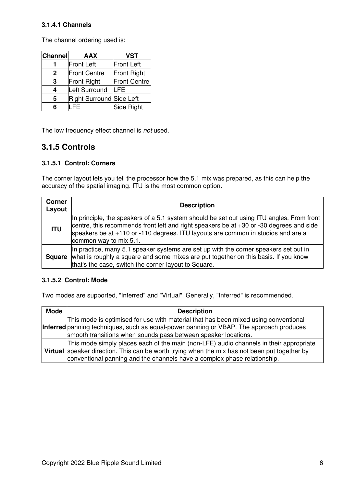#### **3.1.4.1 Channels**

The channel ordering used is:

| <b>Channel</b> | AAX                      | <b>VST</b>          |
|----------------|--------------------------|---------------------|
|                | <b>Front Left</b>        | <b>Front Left</b>   |
| 2              | <b>Front Centre</b>      | Front Right         |
| 3              | <b>Front Right</b>       | <b>Front Centre</b> |
| 4              | Left Surround            | <b>LFE</b>          |
| 5              | Right Surround Side Left |                     |
|                |                          | Side Right          |

The low frequency effect channel is *not* used.

#### **3.1.5 Controls**

#### <span id="page-7-0"></span>**3.1.5.1 Control: Corners**

The corner layout lets you tell the processor how the 5.1 mix was prepared, as this can help the accuracy of the spatial imaging. ITU is the most common option.

| <b>Corner</b><br>Layout | <b>Description</b>                                                                                                                                                                                                                                                                                 |  |
|-------------------------|----------------------------------------------------------------------------------------------------------------------------------------------------------------------------------------------------------------------------------------------------------------------------------------------------|--|
| <b>ITU</b>              | In principle, the speakers of a 5.1 system should be set out using ITU angles. From front<br>centre, this recommends front left and right speakers be at +30 or -30 degrees and side<br>speakers be at +110 or -110 degrees. ITU layouts are common in studios and are a<br>common way to mix 5.1. |  |
|                         | In practice, many 5.1 speaker systems are set up with the corner speakers set out in<br><b>Square</b> what is roughly a square and some mixes are put together on this basis. If you know<br>that's the case, switch the corner layout to Square.                                                  |  |

#### <span id="page-7-1"></span>**3.1.5.2 Control: Mode**

| <b>Mode</b> | <b>Description</b>                                                                                                                                                                                                                                                  |  |  |
|-------------|---------------------------------------------------------------------------------------------------------------------------------------------------------------------------------------------------------------------------------------------------------------------|--|--|
|             | This mode is optimised for use with material that has been mixed using conventional<br>Inferred panning techniques, such as equal-power panning or VBAP. The approach produces<br>smooth transitions when sounds pass between speaker locations.                    |  |  |
|             | This mode simply places each of the main (non-LFE) audio channels in their appropriate<br>Virtual speaker direction. This can be worth trying when the mix has not been put together by<br>conventional panning and the channels have a complex phase relationship. |  |  |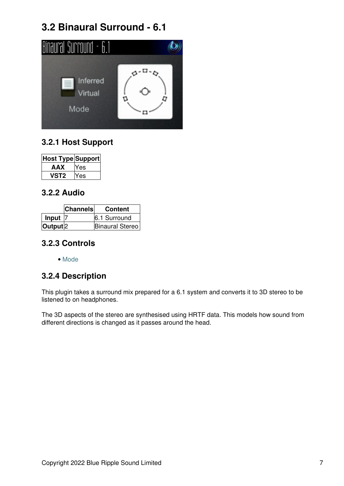# **3.2 Binaural Surround - 6.1**

<span id="page-8-0"></span>

# **3.2.1 Host Support**

| Host Type Support |     |
|-------------------|-----|
| AAX               | 'es |
| ST2               | es: |

#### **3.2.2 Audio**

|                     | <b>Channels</b> | <b>Content</b>  |
|---------------------|-----------------|-----------------|
| Input               |                 | 6.1 Surround    |
| Output <sup>2</sup> |                 | Binaural Stereo |

#### **3.2.3 Controls**

• [Mode](#page-9-0)

## **3.2.4 Description**

This plugin takes a surround mix prepared for a 6.1 system and converts it to 3D stereo to be listened to on headphones.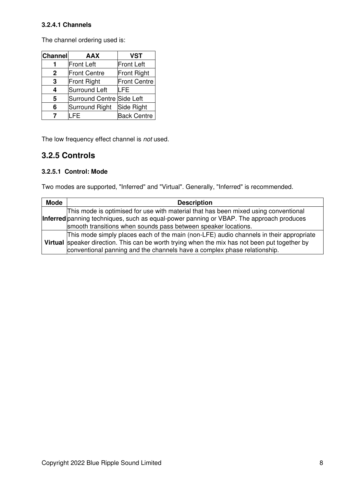#### **3.2.4.1 Channels**

The channel ordering used is:

| <b>Channel</b> | <b>AAX</b>                | <b>VST</b>          |
|----------------|---------------------------|---------------------|
|                | <b>Front Left</b>         | <b>Front Left</b>   |
| $\mathbf{2}$   | <b>Front Centre</b>       | Front Right         |
| 3              | Front Right               | <b>Front Centre</b> |
| 4              | Surround Left             | LFE                 |
| 5              | Surround Centre Side Left |                     |
| 6              | Surround Right            | Side Right          |
|                | LFE                       | <b>Back Centre</b>  |

The low frequency effect channel is *not* used.

#### **3.2.5 Controls**

#### <span id="page-9-0"></span>**3.2.5.1 Control: Mode**

| <b>Mode</b> | <b>Description</b>                                                                                                                                                                                                                                                  |  |  |
|-------------|---------------------------------------------------------------------------------------------------------------------------------------------------------------------------------------------------------------------------------------------------------------------|--|--|
|             | This mode is optimised for use with material that has been mixed using conventional<br>Inferred panning techniques, such as equal-power panning or VBAP. The approach produces<br>smooth transitions when sounds pass between speaker locations.                    |  |  |
|             | This mode simply places each of the main (non-LFE) audio channels in their appropriate<br>Virtual speaker direction. This can be worth trying when the mix has not been put together by<br>conventional panning and the channels have a complex phase relationship. |  |  |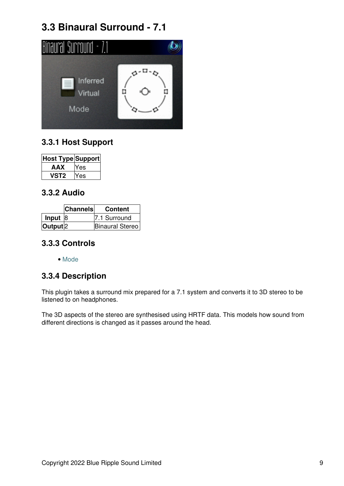# **3.3 Binaural Surround - 7.1**

<span id="page-10-0"></span>

# **3.3.1 Host Support**

| Host Type Support |     |
|-------------------|-----|
| AAX               | 'es |
| ST2               | es: |

#### **3.3.2 Audio**

|                     | <b>Channels</b> | <b>Content</b>  |
|---------------------|-----------------|-----------------|
| Input $ 8$          |                 | 7.1 Surround    |
| Output <sup>2</sup> |                 | Binaural Stereo |

#### **3.3.3 Controls**

• [Mode](#page-11-0)

## **3.3.4 Description**

This plugin takes a surround mix prepared for a 7.1 system and converts it to 3D stereo to be listened to on headphones.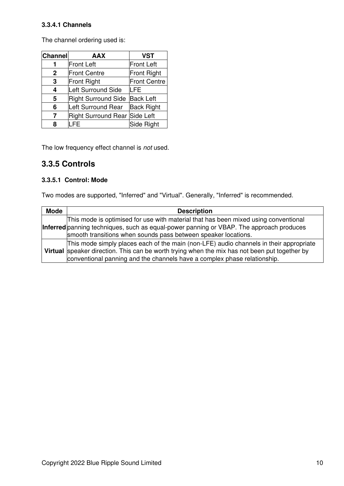#### **3.3.4.1 Channels**

The channel ordering used is:

| <b>Channel</b> | <b>AAX</b>                    | <b>VST</b>          |
|----------------|-------------------------------|---------------------|
|                | <b>Front Left</b>             | <b>Front Left</b>   |
| $\mathbf{2}$   | <b>Front Centre</b>           | Front Right         |
| 3              | Front Right                   | <b>Front Centre</b> |
| 4              | Left Surround Side            | LFE                 |
| 5              | <b>Right Surround Side</b>    | <b>Back Left</b>    |
| 6              | Left Surround Rear            | <b>Back Right</b>   |
| 7              | Right Surround Rear Side Left |                     |
| 8              | _FE                           | Side Right          |

The low frequency effect channel is *not* used.

#### **3.3.5 Controls**

#### <span id="page-11-0"></span>**3.3.5.1 Control: Mode**

| <b>Mode</b> | <b>Description</b>                                                                            |
|-------------|-----------------------------------------------------------------------------------------------|
|             | This mode is optimised for use with material that has been mixed using conventional           |
|             | Inferred panning techniques, such as equal-power panning or VBAP. The approach produces       |
|             | smooth transitions when sounds pass between speaker locations.                                |
|             | This mode simply places each of the main (non-LFE) audio channels in their appropriate        |
|             | Virtual speaker direction. This can be worth trying when the mix has not been put together by |
|             | conventional panning and the channels have a complex phase relationship.                      |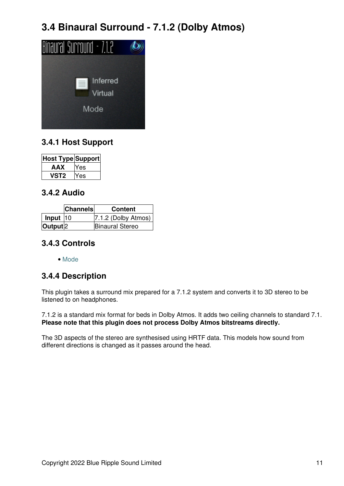# **3.4 Binaural Surround - 7.1.2 (Dolby Atmos)**

<span id="page-12-0"></span>

# **3.4.1 Host Support**

| <b>Host Type Support</b> |       |
|--------------------------|-------|
| AAX                      | res ⁄ |
| 'ST2                     | es    |

#### **3.4.2 Audio**

|                     | <b>Channels</b> | <b>Content</b>         |
|---------------------|-----------------|------------------------|
| Input $ 10$         |                 | $ 7.1.2$ (Dolby Atmos) |
| Output <sup>2</sup> |                 | <b>Binaural Stereo</b> |

#### **3.4.3 Controls**

• [Mode](#page-13-0)

## **3.4.4 Description**

This plugin takes a surround mix prepared for a 7.1.2 system and converts it to 3D stereo to be listened to on headphones.

7.1.2 is a standard mix format for beds in Dolby Atmos. It adds two ceiling channels to standard 7.1. **Please note that this plugin does not process Dolby Atmos bitstreams directly.**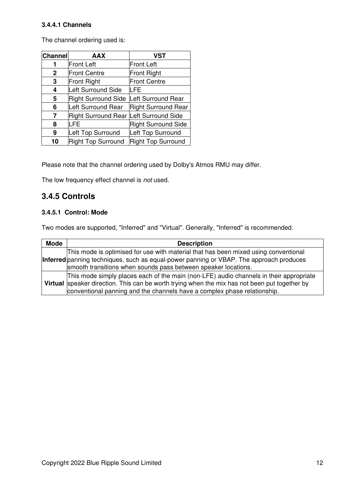#### **3.4.4.1 Channels**

The channel ordering used is:

| Channel      | <b>AAX</b>                 | <b>VST</b>                 |
|--------------|----------------------------|----------------------------|
| 1            | <b>Front Left</b>          | <b>Front Left</b>          |
| $\mathbf{2}$ | <b>Front Centre</b>        | Front Right                |
| 3            | <b>Front Right</b>         | <b>Front Centre</b>        |
| 4            | Left Surround Side         | LFE                        |
| 5            | <b>Right Surround Side</b> | Left Surround Rear         |
| 6            | Left Surround Rear         | <b>Right Surround Rear</b> |
| 7            | <b>Right Surround Rear</b> | Left Surround Side         |
| 8            | <b>LFE</b>                 | <b>Right Surround Side</b> |
| 9            | Left Top Surround          | Left Top Surround          |
| 10           | <b>Right Top Surround</b>  | Right Top Surround         |

Please note that the channel ordering used by Dolby's Atmos RMU may differ.

The low frequency effect channel is *not* used.

#### **3.4.5 Controls**

#### <span id="page-13-0"></span>**3.4.5.1 Control: Mode**

| <b>Mode</b> | <b>Description</b>                                                                                                                                                                                                                                                  |
|-------------|---------------------------------------------------------------------------------------------------------------------------------------------------------------------------------------------------------------------------------------------------------------------|
|             | This mode is optimised for use with material that has been mixed using conventional<br>Inferred panning techniques, such as equal-power panning or VBAP. The approach produces<br>smooth transitions when sounds pass between speaker locations.                    |
|             | This mode simply places each of the main (non-LFE) audio channels in their appropriate<br>Virtual speaker direction. This can be worth trying when the mix has not been put together by<br>conventional panning and the channels have a complex phase relationship. |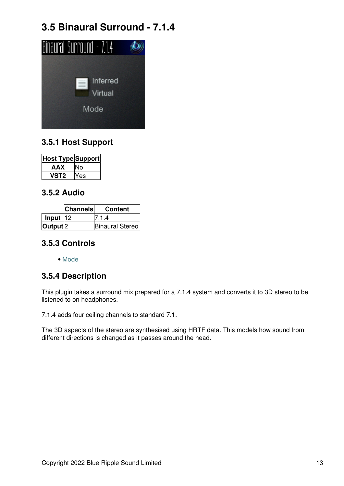# **3.5 Binaural Surround - 7.1.4**

<span id="page-14-0"></span>

## **3.5.1 Host Support**

| <b>Host Type Support</b> |     |
|--------------------------|-----|
| AAX                      |     |
| VST2                     | 'es |

#### **3.5.2 Audio**

|                     | <b>Channels</b> | <b>Content</b>         |
|---------------------|-----------------|------------------------|
| $ $ Input $ 12$     |                 | 7.1.4                  |
| Output <sup>2</sup> |                 | <b>Binaural Stereo</b> |

#### **3.5.3 Controls**

• [Mode](#page-15-0)

## **3.5.4 Description**

This plugin takes a surround mix prepared for a 7.1.4 system and converts it to 3D stereo to be listened to on headphones.

7.1.4 adds four ceiling channels to standard 7.1.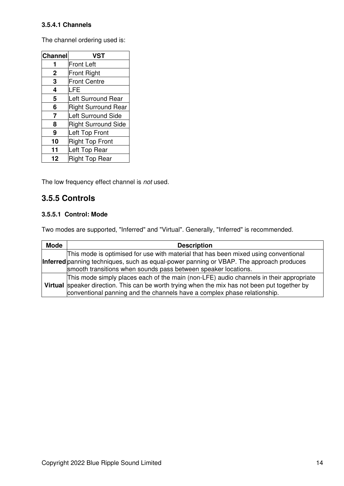#### **3.5.4.1 Channels**

The channel ordering used is:

| <b>Channel</b> | <b>VST</b>                 |
|----------------|----------------------------|
|                | <b>Front Left</b>          |
| $\mathbf 2$    | <b>Front Right</b>         |
| 3              | <b>Front Centre</b>        |
| 4              | LFE                        |
| 5              | <b>Left Surround Rear</b>  |
| 6              | <b>Right Surround Rear</b> |
| 7              | <b>Left Surround Side</b>  |
| 8              | <b>Right Surround Side</b> |
| 9              | Left Top Front             |
| 10             | <b>Right Top Front</b>     |
| 11             | Left Top Rear              |
| 12             | <b>Right Top Rear</b>      |

The low frequency effect channel is *not* used.

#### **3.5.5 Controls**

#### <span id="page-15-0"></span>**3.5.5.1 Control: Mode**

| <b>Mode</b> | <b>Description</b>                                                                                                                                                                                                                                                  |
|-------------|---------------------------------------------------------------------------------------------------------------------------------------------------------------------------------------------------------------------------------------------------------------------|
|             | This mode is optimised for use with material that has been mixed using conventional<br>Inferred panning techniques, such as equal-power panning or VBAP. The approach produces<br>smooth transitions when sounds pass between speaker locations.                    |
|             | This mode simply places each of the main (non-LFE) audio channels in their appropriate<br>Virtual speaker direction. This can be worth trying when the mix has not been put together by<br>conventional panning and the channels have a complex phase relationship. |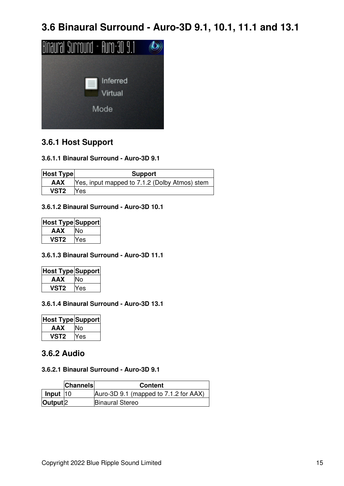**3.6 Binaural Surround - Auro-3D 9.1, 10.1, 11.1 and 13.1**

<span id="page-16-0"></span>

#### **3.6.1 Host Support**

#### **3.6.1.1 Binaural Surround - Auro-3D 9.1**

| <b>Host Type</b> | <b>Support</b>                                |
|------------------|-----------------------------------------------|
| AAX              | Yes, input mapped to 7.1.2 (Dolby Atmos) stem |
| VST <sub>2</sub> | Yes                                           |

#### **3.6.1.2 Binaural Surround - Auro-3D 10.1**

| Host Type Support |     |
|-------------------|-----|
| AAX               |     |
| vst2              | `es |

#### **3.6.1.3 Binaural Surround - Auro-3D 11.1**

| Host Type Support |     |
|-------------------|-----|
| AAX               |     |
| VST2              | 'es |

#### **3.6.1.4 Binaural Surround - Auro-3D 13.1**

| Host Type Support |     |
|-------------------|-----|
| AAX               | ง∩  |
| vst2              | Yes |

### **3.6.2 Audio**

#### **3.6.2.1 Binaural Surround - Auro-3D 9.1**

|                          | <b>Channels</b> | <b>Content</b>                        |
|--------------------------|-----------------|---------------------------------------|
| $\vert$ Input $\vert$ 10 |                 | Auro-3D 9.1 (mapped to 7.1.2 for AAX) |
| Output <sup>2</sup>      |                 | <b>Binaural Stereo</b>                |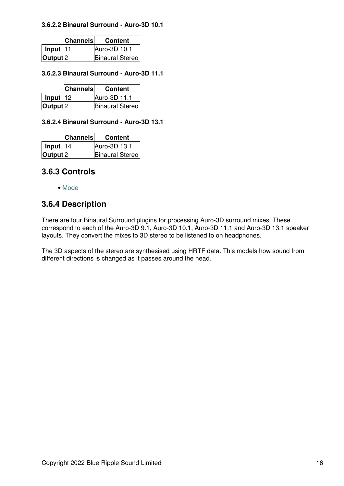#### **3.6.2.2 Binaural Surround - Auro-3D 10.1**

|                     | <b>Channels</b> | <b>Content</b>         |
|---------------------|-----------------|------------------------|
| Input $ 11$         |                 | Auro-3D 10.1           |
| Output <sup>2</sup> |                 | <b>Binaural Stereo</b> |

#### **3.6.2.3 Binaural Surround - Auro-3D 11.1**

|                     | <b>Channels</b> | <b>Content</b>  |
|---------------------|-----------------|-----------------|
| Input $ 12 $        |                 | Auro-3D 11.1    |
| Output <sup>2</sup> |                 | Binaural Stereo |

#### **3.6.2.4 Binaural Surround - Auro-3D 13.1**

|                     | <b>Channels</b> | <b>Content</b>         |
|---------------------|-----------------|------------------------|
| Input $ 14$         |                 | Auro-3D 13.1           |
| Output <sup>2</sup> |                 | <b>Binaural Stereo</b> |

#### **3.6.3 Controls**

• [Mode](#page-18-0)

#### **3.6.4 Description**

There are four Binaural Surround plugins for processing Auro-3D surround mixes. These correspond to each of the Auro-3D 9.1, Auro-3D 10.1, Auro-3D 11.1 and Auro-3D 13.1 speaker layouts. They convert the mixes to 3D stereo to be listened to on headphones.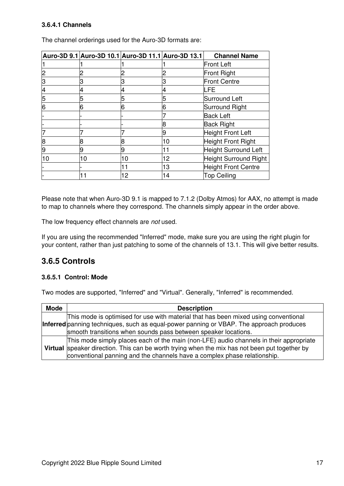#### **3.6.4.1 Channels**

|    |    | Auro-3D 9.1 Auro-3D 10.1 Auro-3D 11.1 Auro-3D 13.1 |    | <b>Channel Name</b>        |
|----|----|----------------------------------------------------|----|----------------------------|
|    |    |                                                    |    | Front Left                 |
|    |    |                                                    |    | Front Right                |
| З  |    | 3                                                  |    | <b>Front Centre</b>        |
|    |    |                                                    |    | LFE                        |
| 5  |    | 5                                                  | 5  | <b>Surround Left</b>       |
| 6  |    | 6                                                  | 16 | <b>Surround Right</b>      |
|    |    |                                                    |    | <b>Back Left</b>           |
|    |    |                                                    | 18 | <b>Back Right</b>          |
|    |    |                                                    | 9  | <b>Height Front Left</b>   |
| 8  | 8  | 8                                                  | 10 | <b>Height Front Right</b>  |
| 9  |    | 9                                                  | 11 | Height Surround Left       |
| 10 | 10 | 10                                                 | 12 | Height Surround Right      |
|    |    | 11                                                 | 13 | <b>Height Front Centre</b> |
|    |    | 12                                                 | 14 | <b>Top Ceiling</b>         |

The channel orderings used for the Auro-3D formats are:

Please note that when Auro-3D 9.1 is mapped to 7.1.2 (Dolby Atmos) for AAX, no attempt is made to map to channels where they correspond. The channels simply appear in the order above.

The low frequency effect channels are *not* used.

If you are using the recommended "Inferred" mode, make sure you are using the right plugin for your content, rather than just patching to some of the channels of 13.1. This will give better results.

#### **3.6.5 Controls**

#### <span id="page-18-0"></span>**3.6.5.1 Control: Mode**

| <b>Mode</b> | <b>Description</b>                                                                                                                                                                                                                                                  |
|-------------|---------------------------------------------------------------------------------------------------------------------------------------------------------------------------------------------------------------------------------------------------------------------|
|             | This mode is optimised for use with material that has been mixed using conventional<br>Inferred panning techniques, such as equal-power panning or VBAP. The approach produces<br>smooth transitions when sounds pass between speaker locations.                    |
|             | This mode simply places each of the main (non-LFE) audio channels in their appropriate<br>Virtual speaker direction. This can be worth trying when the mix has not been put together by<br>conventional panning and the channels have a complex phase relationship. |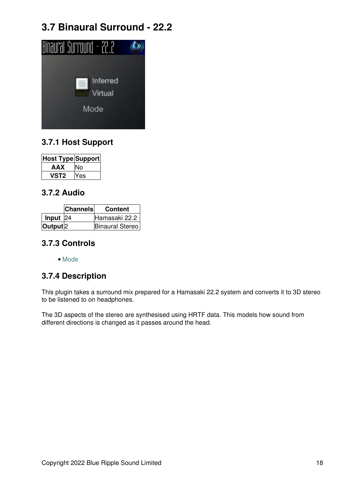# **3.7 Binaural Surround - 22.2**

<span id="page-19-0"></span>

# **3.7.1 Host Support**

| <b>Host Type Support</b> |     |
|--------------------------|-----|
| AAX                      |     |
| 'ST2                     | 'es |

#### **3.7.2 Audio**

|                     | <b>Channels</b> | <b>Content</b>  |
|---------------------|-----------------|-----------------|
| Input $24$          |                 | Hamasaki 22.2   |
| Output <sup>2</sup> |                 | Binaural Stereo |

#### **3.7.3 Controls**

• [Mode](#page-20-0)

## **3.7.4 Description**

This plugin takes a surround mix prepared for a Hamasaki 22.2 system and converts it to 3D stereo to be listened to on headphones.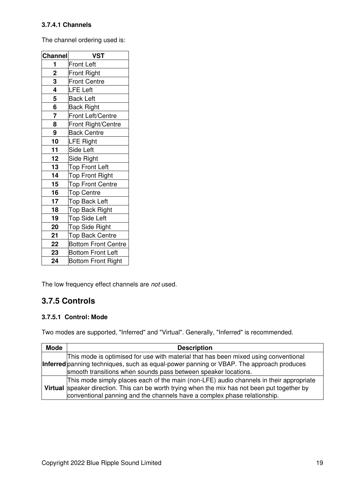#### **3.7.4.1 Channels**

The channel ordering used is:

| <b>Channel</b> | <b>VST</b>                 |
|----------------|----------------------------|
| 1              | <b>Front Left</b>          |
| $\overline{2}$ | <b>Front Right</b>         |
| 3              | <b>Front Centre</b>        |
| 4              | <b>LFE Left</b>            |
| 5              | <b>Back Left</b>           |
| 6              | <b>Back Right</b>          |
| $\overline{7}$ | Front Left/Centre          |
| 8              | Front Right/Centre         |
| 9              | <b>Back Centre</b>         |
| 10             | <b>LFE Right</b>           |
| 11             | Side Left                  |
| 12             | Side Right                 |
| 13             | <b>Top Front Left</b>      |
| 14             | <b>Top Front Right</b>     |
| 15             | <b>Top Front Centre</b>    |
| 16             | <b>Top Centre</b>          |
| 17             | <b>Top Back Left</b>       |
| 18             | <b>Top Back Right</b>      |
| 19             | <b>Top Side Left</b>       |
| 20             | <b>Top Side Right</b>      |
| 21             | <b>Top Back Centre</b>     |
| 22             | <b>Bottom Front Centre</b> |
| 23             | <b>Bottom Front Left</b>   |
| 24             | <b>Bottom Front Right</b>  |

The low frequency effect channels are *not* used.

## **3.7.5 Controls**

#### <span id="page-20-0"></span>**3.7.5.1 Control: Mode**

| <b>Mode</b> | <b>Description</b>                                                                                                                                                                                                                                                  |  |  |
|-------------|---------------------------------------------------------------------------------------------------------------------------------------------------------------------------------------------------------------------------------------------------------------------|--|--|
|             | This mode is optimised for use with material that has been mixed using conventional<br>Inferred panning techniques, such as equal-power panning or VBAP. The approach produces<br>smooth transitions when sounds pass between speaker locations.                    |  |  |
|             | This mode simply places each of the main (non-LFE) audio channels in their appropriate<br>Virtual speaker direction. This can be worth trying when the mix has not been put together by<br>conventional panning and the channels have a complex phase relationship. |  |  |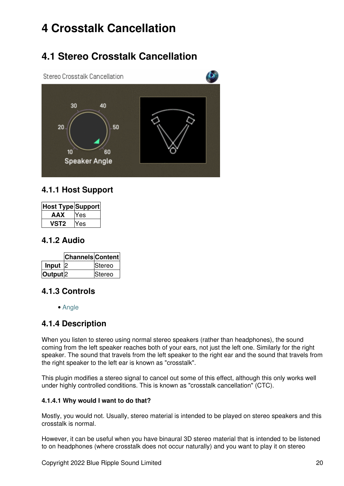# <span id="page-21-0"></span>**4 Crosstalk Cancellation**

# **4.1 Stereo Crosstalk Cancellation**

<span id="page-21-1"></span>

#### **4.1.1 Host Support**

| Host Type Support |     |
|-------------------|-----|
| AAX               | Yes |
| vst2              | es  |

#### **4.1.2 Audio**

|                     | <b>Channels Content</b> |               |
|---------------------|-------------------------|---------------|
| Input               |                         | <b>Stereo</b> |
| Output <sup>2</sup> |                         | <b>Stereo</b> |

## **4.1.3 Controls**

• [Angle](#page-22-0)

## **4.1.4 Description**

When you listen to stereo using normal stereo speakers (rather than headphones), the sound coming from the left speaker reaches both of your ears, not just the left one. Similarly for the right speaker. The sound that travels from the left speaker to the right ear and the sound that travels from the right speaker to the left ear is known as "crosstalk".

This plugin modifies a stereo signal to cancel out some of this effect, although this only works well under highly controlled conditions. This is known as "crosstalk cancellation" (CTC).

#### **4.1.4.1 Why would I want to do that?**

Mostly, you would not. Usually, stereo material is intended to be played on stereo speakers and this crosstalk is normal.

However, it can be useful when you have binaural 3D stereo material that is intended to be listened to on headphones (where crosstalk does not occur naturally) and you want to play it on stereo